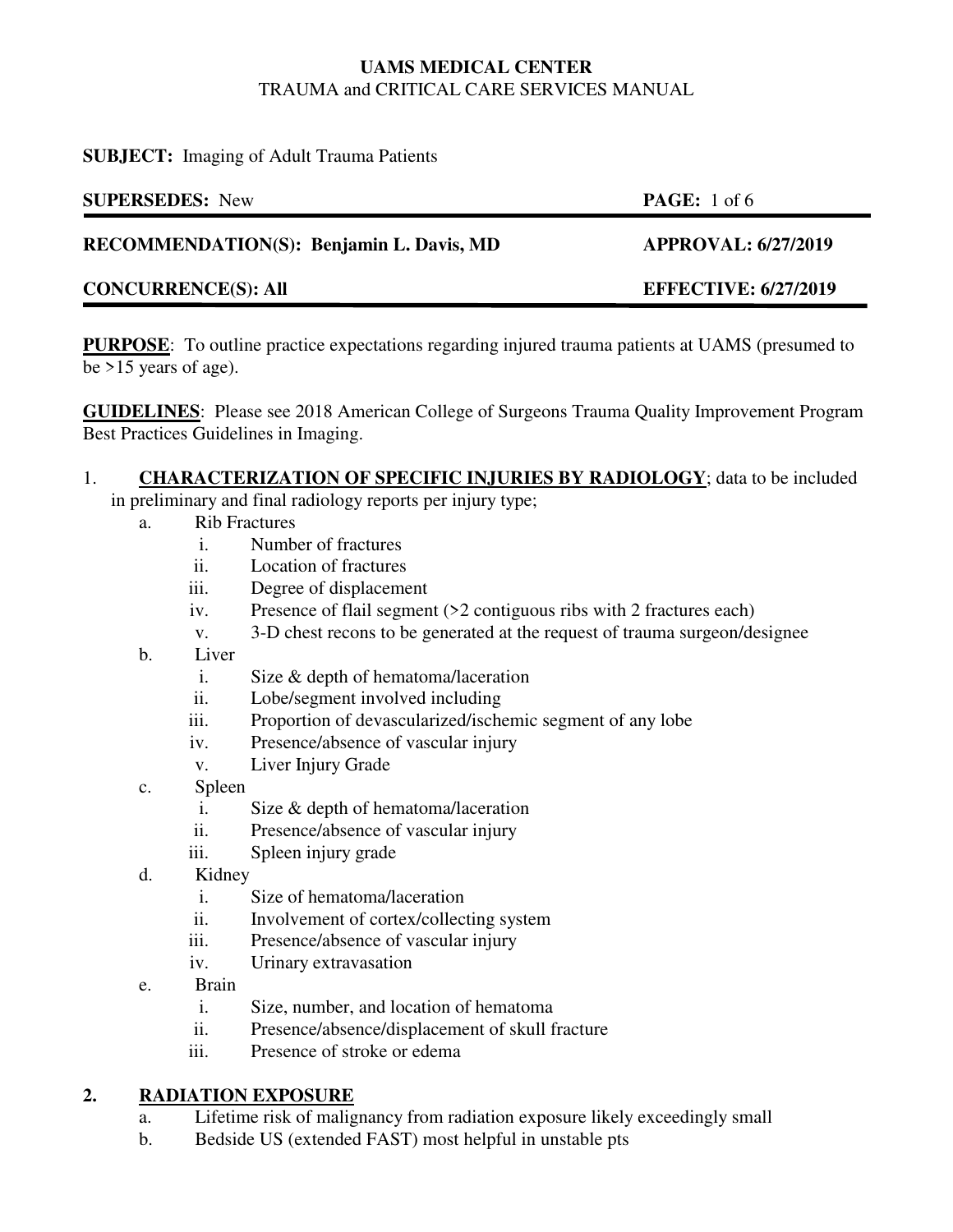### **SUBJECT:** Imaging of Adult Trauma Patients

| <b>SUPERSEDES:</b> New                   | <b>PAGE:</b> 1 of 6         |
|------------------------------------------|-----------------------------|
| RECOMMENDATION(S): Benjamin L. Davis, MD | <b>APPROVAL: 6/27/2019</b>  |
| <b>CONCURRENCE(S): All</b>               | <b>EFFECTIVE: 6/27/2019</b> |

**PURPOSE**: To outline practice expectations regarding injured trauma patients at UAMS (presumed to be >15 years of age).

**GUIDELINES**: Please see 2018 American College of Surgeons Trauma Quality Improvement Program Best Practices Guidelines in Imaging.

# 1. **CHARACTERIZATION OF SPECIFIC INJURIES BY RADIOLOGY**; data to be included

in preliminary and final radiology reports per injury type;

- a. Rib Fractures
	- i. Number of fractures
	- ii. Location of fractures
	- iii. Degree of displacement
	- iv. Presence of flail segment (>2 contiguous ribs with 2 fractures each)
	- v. 3-D chest recons to be generated at the request of trauma surgeon/designee
- b. Liver
	- i. Size & depth of hematoma/laceration
	- ii. Lobe/segment involved including
	- iii. Proportion of devascularized/ischemic segment of any lobe
	- iv. Presence/absence of vascular injury
	- v. Liver Injury Grade
- c. Spleen
	- i. Size & depth of hematoma/laceration
	- ii. Presence/absence of vascular injury
	- iii. Spleen injury grade
- d. Kidney
	- i. Size of hematoma/laceration
	- ii. Involvement of cortex/collecting system
	- iii. Presence/absence of vascular injury
	- iv. Urinary extravasation
- e. Brain
	- i. Size, number, and location of hematoma
	- ii. Presence/absence/displacement of skull fracture
	- iii. Presence of stroke or edema

# **2. RADIATION EXPOSURE**

- a. Lifetime risk of malignancy from radiation exposure likely exceedingly small
- b. Bedside US (extended FAST) most helpful in unstable pts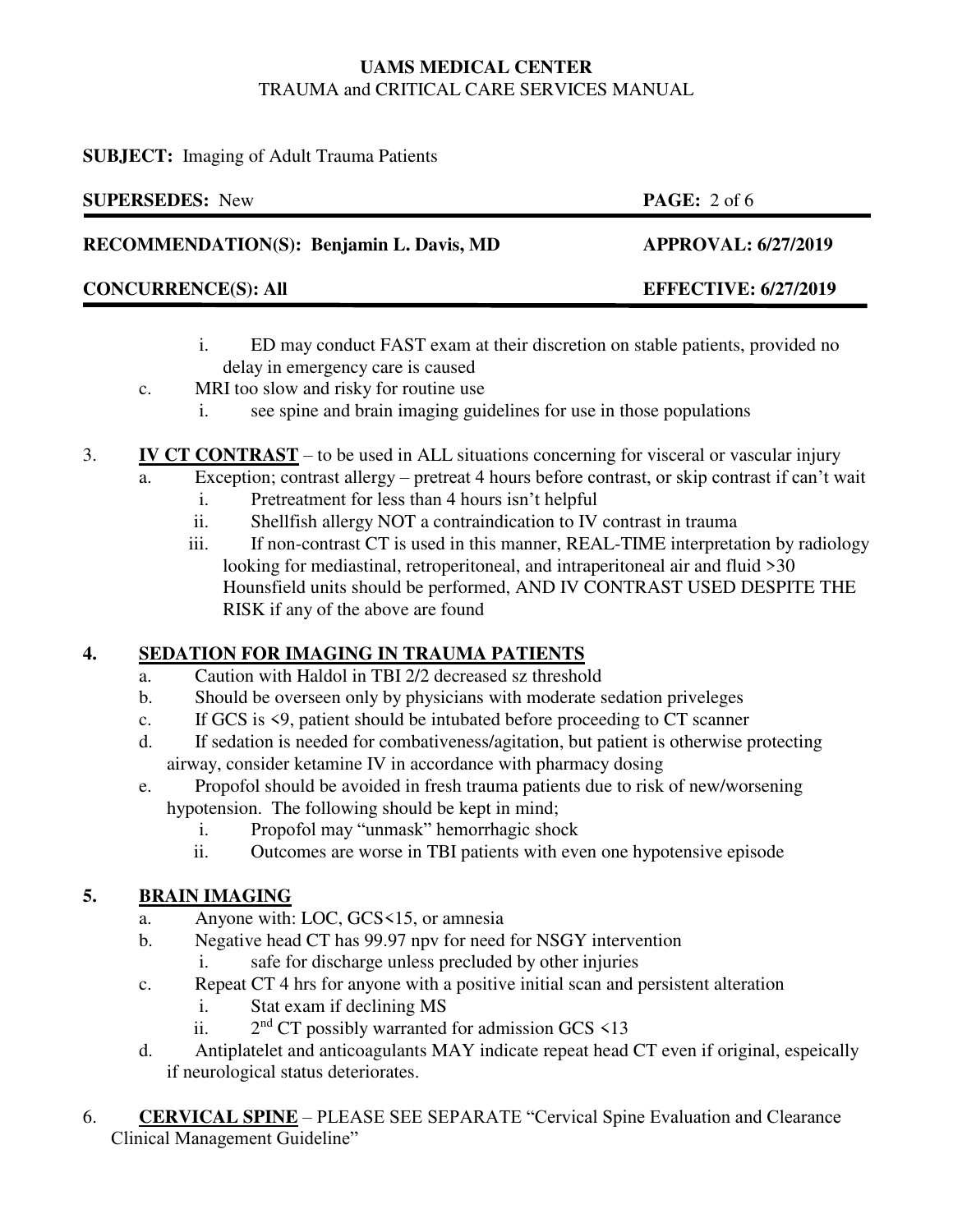### **SUBJECT:** Imaging of Adult Trauma Patients

| <b>SUPERSEDES:</b> New                   | <b>PAGE:</b> $2 \text{ of } 6$ |
|------------------------------------------|--------------------------------|
| RECOMMENDATION(S): Benjamin L. Davis, MD | <b>APPROVAL: 6/27/2019</b>     |
| <b>CONCURRENCE(S): All</b>               | <b>EFFECTIVE: 6/27/2019</b>    |
|                                          |                                |

- i. ED may conduct FAST exam at their discretion on stable patients, provided no delay in emergency care is caused
- c. MRI too slow and risky for routine use
	- i. see spine and brain imaging guidelines for use in those populations
- 3. **IV CT CONTRAST** to be used in ALL situations concerning for visceral or vascular injury
	- a. Exception; contrast allergy pretreat 4 hours before contrast, or skip contrast if can't wait
		- i. Pretreatment for less than 4 hours isn't helpful
		- ii. Shellfish allergy NOT a contraindication to IV contrast in trauma
		- iii. If non-contrast CT is used in this manner, REAL-TIME interpretation by radiology looking for mediastinal, retroperitoneal, and intraperitoneal air and fluid >30 Hounsfield units should be performed, AND IV CONTRAST USED DESPITE THE RISK if any of the above are found

# **4. SEDATION FOR IMAGING IN TRAUMA PATIENTS**

- a. Caution with Haldol in TBI 2/2 decreased sz threshold
- b. Should be overseen only by physicians with moderate sedation priveleges
- c. If GCS is <9, patient should be intubated before proceeding to CT scanner
- d. If sedation is needed for combativeness/agitation, but patient is otherwise protecting airway, consider ketamine IV in accordance with pharmacy dosing
- e. Propofol should be avoided in fresh trauma patients due to risk of new/worsening hypotension. The following should be kept in mind;
	- i. Propofol may "unmask" hemorrhagic shock
	- ii. Outcomes are worse in TBI patients with even one hypotensive episode

# **5. BRAIN IMAGING**

- a. Anyone with: LOC, GCS<15, or amnesia
- b. Negative head CT has 99.97 npv for need for NSGY intervention
	- i. safe for discharge unless precluded by other injuries
- c. Repeat CT 4 hrs for anyone with a positive initial scan and persistent alteration
	- i. Stat exam if declining MS
	- ii. 2  $2<sup>nd</sup>$  CT possibly warranted for admission GCS  $\leq$  13
- d. Antiplatelet and anticoagulants MAY indicate repeat head CT even if original, espeically if neurological status deteriorates.
- 6. **CERVICAL SPINE** PLEASE SEE SEPARATE "Cervical Spine Evaluation and Clearance Clinical Management Guideline"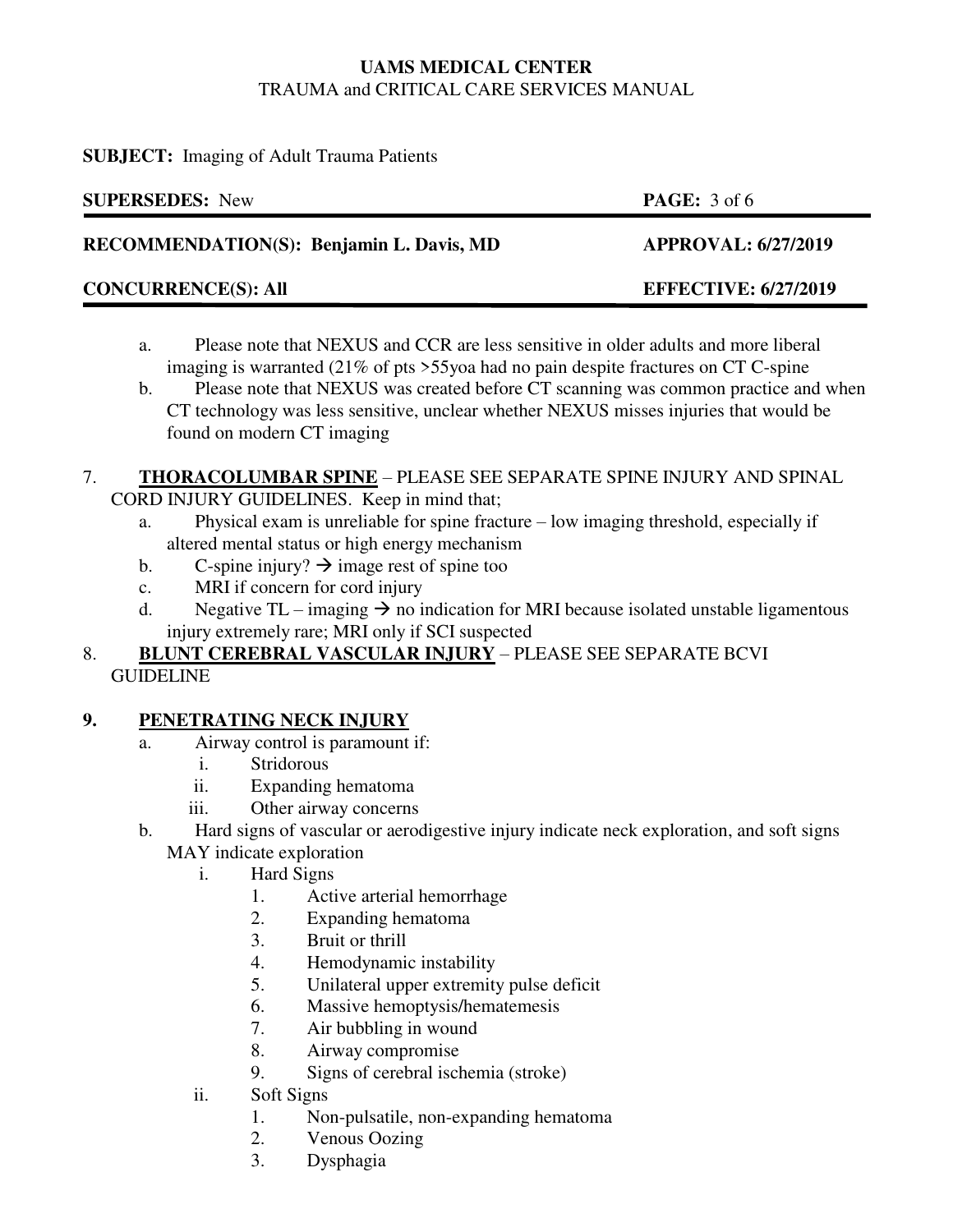### **SUBJECT:** Imaging of Adult Trauma Patients

| <b>SUPERSEDES: New</b>                   | <b>PAGE:</b> $3$ of 6       |
|------------------------------------------|-----------------------------|
| RECOMMENDATION(S): Benjamin L. Davis, MD | <b>APPROVAL: 6/27/2019</b>  |
| <b>CONCURRENCE(S): All</b>               | <b>EFFECTIVE: 6/27/2019</b> |
|                                          |                             |

- a. Please note that NEXUS and CCR are less sensitive in older adults and more liberal imaging is warranted (21% of pts >55yoa had no pain despite fractures on CT C-spine
- b. Please note that NEXUS was created before CT scanning was common practice and when CT technology was less sensitive, unclear whether NEXUS misses injuries that would be found on modern CT imaging

#### 7. **THORACOLUMBAR SPINE** – PLEASE SEE SEPARATE SPINE INJURY AND SPINAL CORD INJURY GUIDELINES. Keep in mind that;

- a. Physical exam is unreliable for spine fracture low imaging threshold, especially if altered mental status or high energy mechanism
- b. C-spine injury?  $\rightarrow$  image rest of spine too
- c. MRI if concern for cord injury
- d. Negative TL imaging  $\rightarrow$  no indication for MRI because isolated unstable ligamentous injury extremely rare; MRI only if SCI suspected
- 8. **BLUNT CEREBRAL VASCULAR INJURY** PLEASE SEE SEPARATE BCVI GUIDELINE

# **9. PENETRATING NECK INJURY**

- a. Airway control is paramount if:
	- i. Stridorous
	- ii. Expanding hematoma
	- iii. Other airway concerns
- b. Hard signs of vascular or aerodigestive injury indicate neck exploration, and soft signs MAY indicate exploration
	- i. Hard Signs
		- 1. Active arterial hemorrhage
		- 2. Expanding hematoma
		- 3. Bruit or thrill
		- 4. Hemodynamic instability
		- 5. Unilateral upper extremity pulse deficit
		- 6. Massive hemoptysis/hematemesis
		- 7. Air bubbling in wound
		- 8. Airway compromise
		- 9. Signs of cerebral ischemia (stroke)
	- ii. Soft Signs
		- 1. Non-pulsatile, non-expanding hematoma
		- 2. Venous Oozing
		- 3. Dysphagia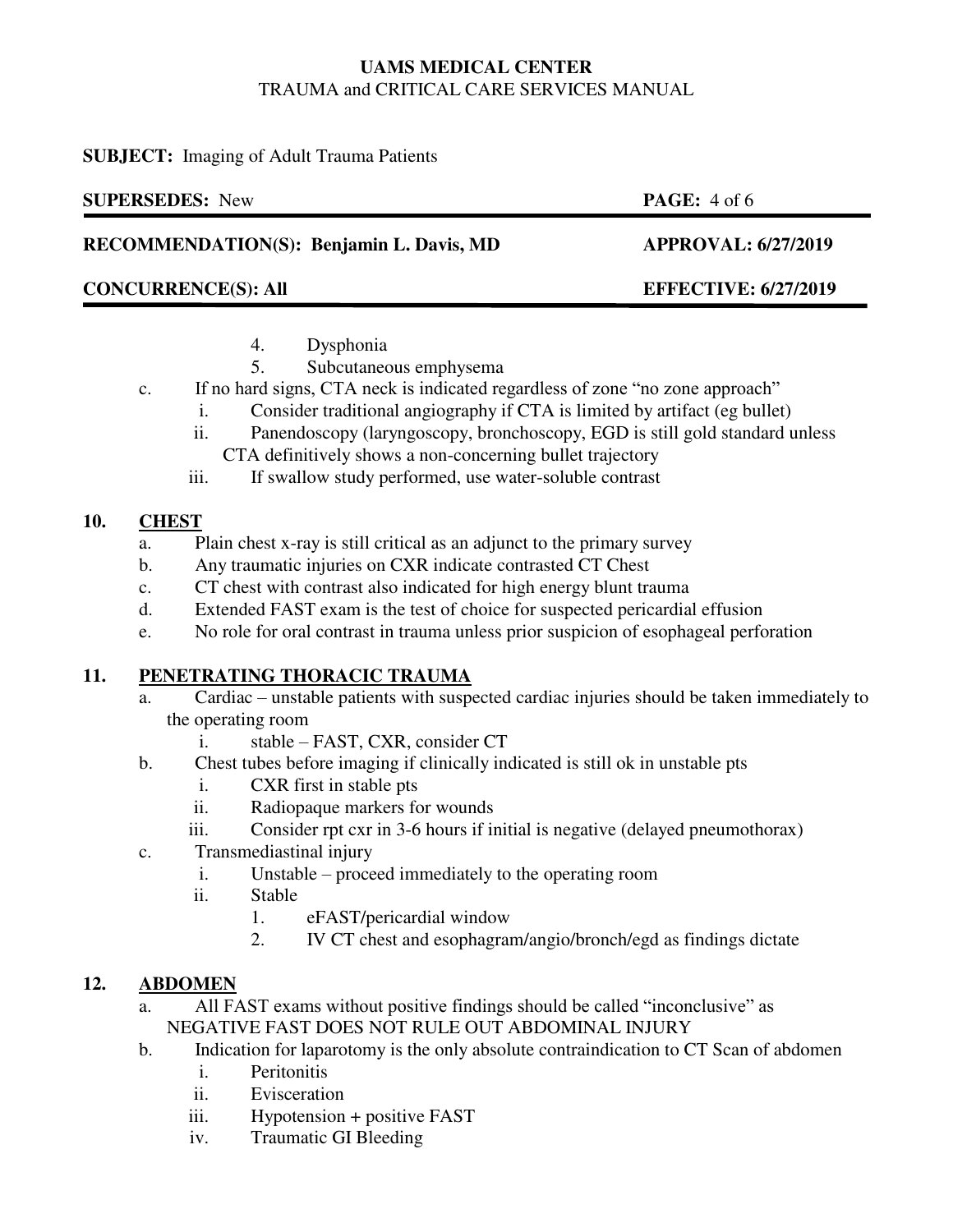### **SUBJECT:** Imaging of Adult Trauma Patients

| <b>SUPERSEDES:</b> New                   | <b>PAGE:</b> $4$ of 6       |
|------------------------------------------|-----------------------------|
| RECOMMENDATION(S): Benjamin L. Davis, MD | <b>APPROVAL: 6/27/2019</b>  |
| <b>CONCURRENCE(S): All</b>               | <b>EFFECTIVE: 6/27/2019</b> |
| $D$ wankania                             |                             |

- 4. Dysphonia
- 5. Subcutaneous emphysema
- c. If no hard signs, CTA neck is indicated regardless of zone "no zone approach"
	- i. Consider traditional angiography if CTA is limited by artifact (eg bullet)
	- ii. Panendoscopy (laryngoscopy, bronchoscopy, EGD is still gold standard unless CTA definitively shows a non-concerning bullet trajectory
	- iii. If swallow study performed, use water-soluble contrast

# **10. CHEST**

- a. Plain chest x-ray is still critical as an adjunct to the primary survey
- b. Any traumatic injuries on CXR indicate contrasted CT Chest
- c. CT chest with contrast also indicated for high energy blunt trauma
- d. Extended FAST exam is the test of choice for suspected pericardial effusion
- e. No role for oral contrast in trauma unless prior suspicion of esophageal perforation

# **11. PENETRATING THORACIC TRAUMA**

- a. Cardiac unstable patients with suspected cardiac injuries should be taken immediately to the operating room
	- i. stable FAST, CXR, consider CT
- b. Chest tubes before imaging if clinically indicated is still ok in unstable pts
	- i. CXR first in stable pts
	- ii. Radiopaque markers for wounds
	- iii. Consider rpt cxr in 3-6 hours if initial is negative (delayed pneumothorax)
- c. Transmediastinal injury
	- i. Unstable proceed immediately to the operating room
	- ii. Stable
		- 1. eFAST/pericardial window
		- 2. IV CT chest and esophagram/angio/bronch/egd as findings dictate

# **12. ABDOMEN**

- a. All FAST exams without positive findings should be called "inconclusive" as NEGATIVE FAST DOES NOT RULE OUT ABDOMINAL INJURY
- b. Indication for laparotomy is the only absolute contraindication to CT Scan of abdomen
	- i. Peritonitis
	- ii. Evisceration
	- iii. Hypotension + positive FAST
	- iv. Traumatic GI Bleeding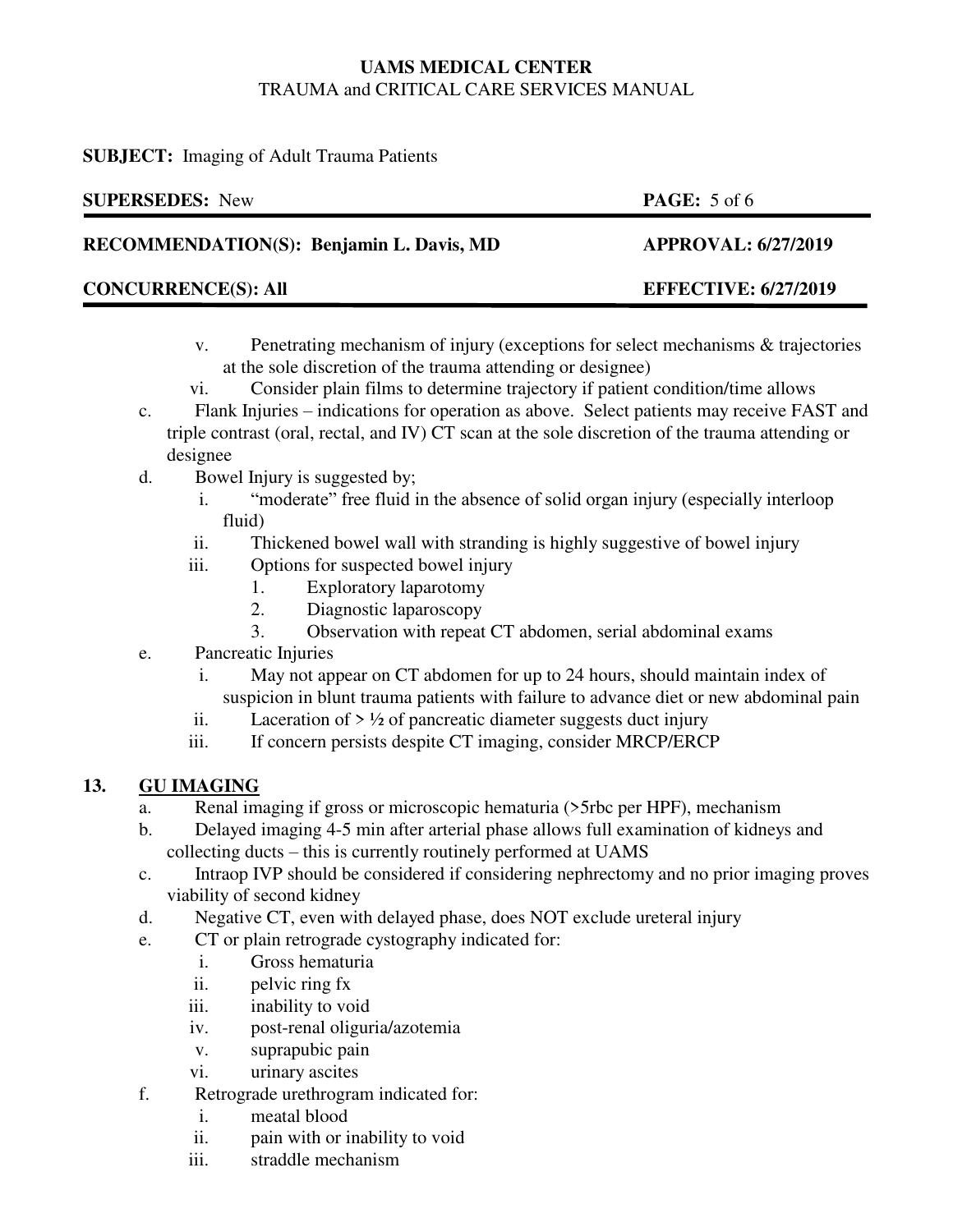### **SUBJECT:** Imaging of Adult Trauma Patients

| <b>SUPERSEDES:</b> New                   | <b>PAGE:</b> $5$ of 6       |
|------------------------------------------|-----------------------------|
| RECOMMENDATION(S): Benjamin L. Davis, MD | <b>APPROVAL: 6/27/2019</b>  |
| <b>CONCURRENCE(S): All</b>               | <b>EFFECTIVE: 6/27/2019</b> |
|                                          |                             |

- v. Penetrating mechanism of injury (exceptions for select mechanisms & trajectories at the sole discretion of the trauma attending or designee)
- vi. Consider plain films to determine trajectory if patient condition/time allows
- c. Flank Injuries indications for operation as above. Select patients may receive FAST and triple contrast (oral, rectal, and IV) CT scan at the sole discretion of the trauma attending or designee
- d. Bowel Injury is suggested by;
	- i. "moderate" free fluid in the absence of solid organ injury (especially interloop fluid)
	- ii. Thickened bowel wall with stranding is highly suggestive of bowel injury
	- iii. Options for suspected bowel injury
		- 1. Exploratory laparotomy
		- 2. Diagnostic laparoscopy
		- 3. Observation with repeat CT abdomen, serial abdominal exams
- e. Pancreatic Injuries
	- i. May not appear on CT abdomen for up to 24 hours, should maintain index of suspicion in blunt trauma patients with failure to advance diet or new abdominal pain
	- ii. Laceration of  $> 1/2$  of pancreatic diameter suggests duct injury
	- iii. If concern persists despite CT imaging, consider MRCP/ERCP

# **13. GU IMAGING**

- a. Renal imaging if gross or microscopic hematuria (>5rbc per HPF), mechanism
- b. Delayed imaging 4-5 min after arterial phase allows full examination of kidneys and collecting ducts – this is currently routinely performed at UAMS
- c. Intraop IVP should be considered if considering nephrectomy and no prior imaging proves viability of second kidney
- d. Negative CT, even with delayed phase, does NOT exclude ureteral injury
- e. CT or plain retrograde cystography indicated for:
	- i. Gross hematuria
	- ii. pelvic ring fx
	- iii. inability to void
	- iv. post-renal oliguria/azotemia
	- v. suprapubic pain
	- vi. urinary ascites
- f. Retrograde urethrogram indicated for:
	- i. meatal blood
	- ii. pain with or inability to void
	- iii. straddle mechanism